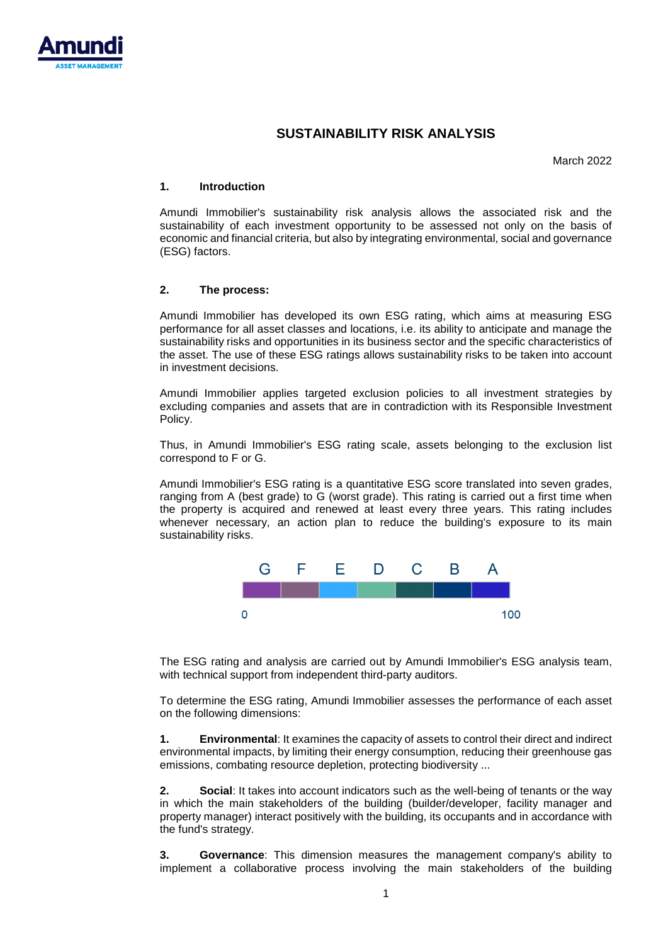

## **SUSTAINABILITY RISK ANALYSIS**

March 2022

## **1. Introduction**

Amundi Immobilier's sustainability risk analysis allows the associated risk and the sustainability of each investment opportunity to be assessed not only on the basis of economic and financial criteria, but also by integrating environmental, social and governance (ESG) factors.

## **2. The process:**

Amundi Immobilier has developed its own ESG rating, which aims at measuring ESG performance for all asset classes and locations, i.e. its ability to anticipate and manage the sustainability risks and opportunities in its business sector and the specific characteristics of the asset. The use of these ESG ratings allows sustainability risks to be taken into account in investment decisions.

Amundi Immobilier applies targeted exclusion policies to all investment strategies by excluding companies and assets that are in contradiction with its Responsible Investment Policy.

Thus, in Amundi Immobilier's ESG rating scale, assets belonging to the exclusion list correspond to F or G.

Amundi Immobilier's ESG rating is a quantitative ESG score translated into seven grades, ranging from A (best grade) to G (worst grade). This rating is carried out a first time when the property is acquired and renewed at least every three years. This rating includes whenever necessary, an action plan to reduce the building's exposure to its main sustainability risks.



The ESG rating and analysis are carried out by Amundi Immobilier's ESG analysis team, with technical support from independent third-party auditors.

To determine the ESG rating, Amundi Immobilier assesses the performance of each asset on the following dimensions:

**1. Environmental**: It examines the capacity of assets to control their direct and indirect environmental impacts, by limiting their energy consumption, reducing their greenhouse gas emissions, combating resource depletion, protecting biodiversity ...

**2. Social**: It takes into account indicators such as the well-being of tenants or the way in which the main stakeholders of the building (builder/developer, facility manager and property manager) interact positively with the building, its occupants and in accordance with the fund's strategy.

**3. Governance**: This dimension measures the management company's ability to implement a collaborative process involving the main stakeholders of the building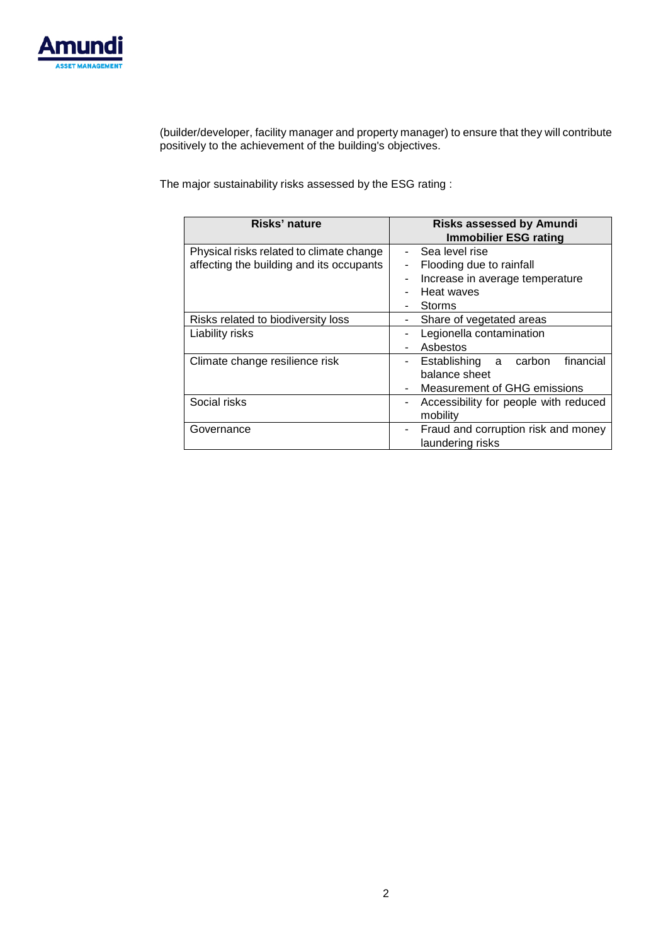

(builder/developer, facility manager and property manager) to ensure that they will contribute positively to the achievement of the building's objectives.

The major sustainability risks assessed by the ESG rating :

| Risks' nature                                                                        | <b>Risks assessed by Amundi</b><br><b>Immobilier ESG rating</b>                                              |  |  |
|--------------------------------------------------------------------------------------|--------------------------------------------------------------------------------------------------------------|--|--|
| Physical risks related to climate change<br>affecting the building and its occupants | Sea level rise<br>Flooding due to rainfall<br>Increase in average temperature<br>Heat waves<br><b>Storms</b> |  |  |
| Risks related to biodiversity loss<br>Liability risks                                | Share of vegetated areas<br>Legionella contamination<br>Asbestos                                             |  |  |
| Climate change resilience risk                                                       | financial<br>Establishing a carbon<br>$\sim$<br>balance sheet<br>Measurement of GHG emissions                |  |  |
| Social risks                                                                         | Accessibility for people with reduced<br>mobility                                                            |  |  |
| Governance                                                                           | Fraud and corruption risk and money<br>laundering risks                                                      |  |  |